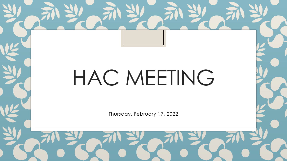# HAC MEETING

Thursday, February 17, 2022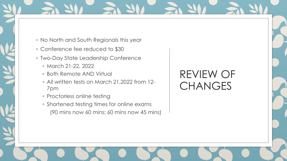- No North and South Regionals this year
- Conference fee reduced to \$30
- Two-Day State Leadership Conference
	- March 21-22, 2022
	- Both Remote AND Virtual
	- All written tests on March 21,2022 from 12- 7pm
	- Proctorless online testing
	- Shortened testing times for online exams (90 mins now 60 mins; 60 mins now 45 mins)

#### REVIEW OF **CHANGES**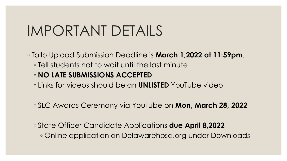### IMPORTANT DETAILS

◦ Tallo Upload Submission Deadline is **March 1,2022 at 11:59pm**. ◦ Tell students not to wait until the last minute ◦ **NO LATE SUBMISSIONS ACCEPTED**  ◦ Links for videos should be an **UNLISTED** YouTube video

◦ SLC Awards Ceremony via YouTube on **Mon, March 28, 2022**

◦ State Officer Candidate Applications **due April 8,2022** ◦ Online application on Delawarehosa.org under Downloads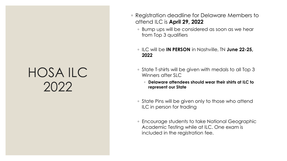#### HOSA ILC 2022

- Registration deadline for Delaware Members to attend ILC is **April 29, 2022**
	- Bump ups will be considered as soon as we hear from Top 3 qualifiers
	- ILC will be **IN PERSON** in Nashville, TN **June 22-25, 2022**
	- State T-shirts will be given with medals to all Top 3 Winners after SLC
		- **Delaware attendees should wear their shirts at ILC to represent our State**
	- State Pins will be given only to those who attend ILC in person for trading
	- Encourage students to take National Geographic Academic Testing while at ILC. One exam is included in the registration fee.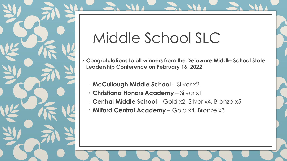

## Middle School SLC

- **Congratulations to all winners from the Delaware Middle School State Leadership Conference on February 16, 2022**
	- **McCullough Middle School**  Silver x2
	- **Christiana Honors Academy**  Silver x1
	- **Central Middle School**  Gold x2, Silver x4, Bronze x5
	- **Milford Central Academy**  Gold x4, Bronze x3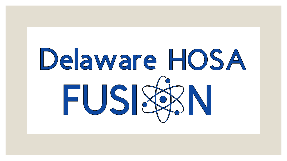# Delaware HOSA FUSISSIN